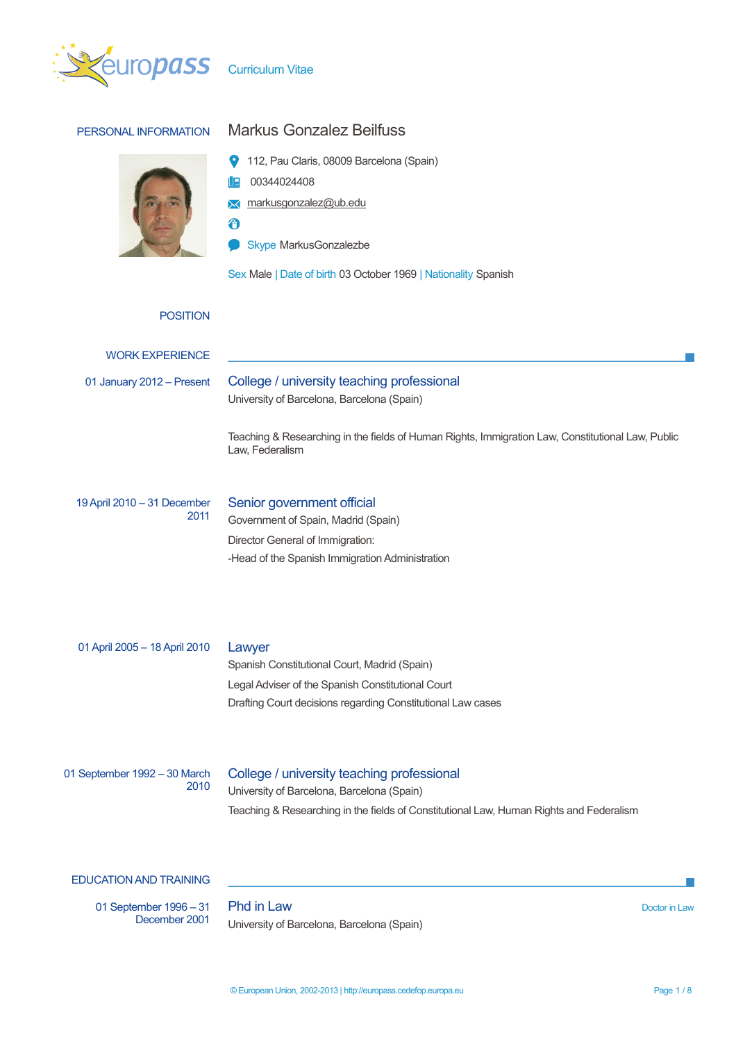

| PERSONAL INFORMATION                 | <b>Markus Gonzalez Beilfuss</b>                                                                                                                                                        |             |  |  |  |
|--------------------------------------|----------------------------------------------------------------------------------------------------------------------------------------------------------------------------------------|-------------|--|--|--|
|                                      | 112, Pau Claris, 08009 Barcelona (Spain)<br>00344024408<br>markusgonzalez@ub.edu<br>⋈<br>ð<br>Skype MarkusGonzalezbe<br>Sex Male   Date of birth 03 October 1969   Nationality Spanish |             |  |  |  |
| <b>POSITION</b>                      |                                                                                                                                                                                        |             |  |  |  |
| <b>WORK EXPERIENCE</b>               |                                                                                                                                                                                        |             |  |  |  |
| 01 January 2012 - Present            | College / university teaching professional<br>University of Barcelona, Barcelona (Spain)                                                                                               |             |  |  |  |
|                                      | Teaching & Researching in the fields of Human Rights, Immigration Law, Constitutional Law, Public<br>Law, Federalism                                                                   |             |  |  |  |
| 19 April 2010 - 31 December<br>2011  | Senior government official<br>Government of Spain, Madrid (Spain)<br>Director General of Immigration:<br>-Head of the Spanish Immigration Administration                               |             |  |  |  |
| 01 April 2005 - 18 April 2010        | Lawyer<br>Spanish Constitutional Court, Madrid (Spain)<br>Legal Adviser of the Spanish Constitutional Court<br>Drafting Court decisions regarding Constitutional Law cases             |             |  |  |  |
| 01 September 1992 - 30 March<br>2010 | College / university teaching professional<br>University of Barcelona, Barcelona (Spain)<br>Teaching & Researching in the fields of Constitutional Law, Human Rights and Federalism    |             |  |  |  |
| <b>EDUCATION AND TRAINING</b>        |                                                                                                                                                                                        |             |  |  |  |
| 01 September 1996 - 31               | Phd in Law                                                                                                                                                                             | Doctor in I |  |  |  |

П

 $\overline{\phantom{a}}$ 

University of Barcelona, Barcelona (Spain)

December 2001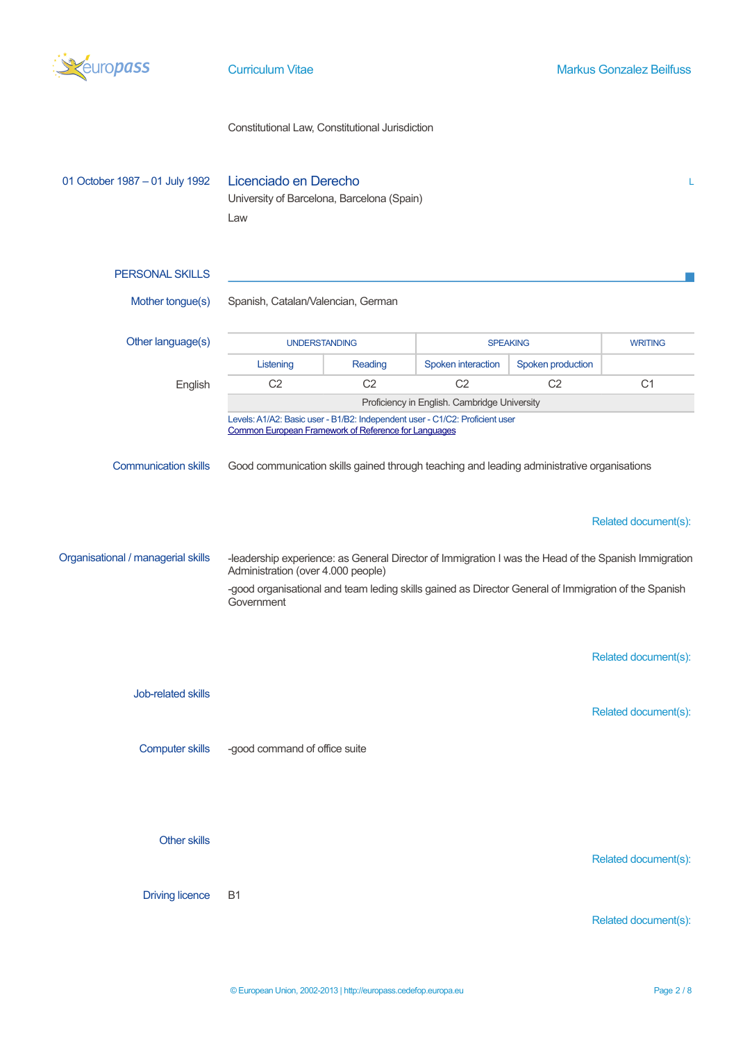

# Constitutional Law, Constitutional Jurisdiction

| 01 October 1987 - 01 July 1992     | Licenciado en Derecho<br>L<br>University of Barcelona, Barcelona (Spain)<br>Law                                                            |                |                    |                   |                      |  |
|------------------------------------|--------------------------------------------------------------------------------------------------------------------------------------------|----------------|--------------------|-------------------|----------------------|--|
| <b>PERSONAL SKILLS</b>             |                                                                                                                                            |                |                    |                   |                      |  |
| Mother tongue(s)                   | Spanish, Catalan/Valencian, German                                                                                                         |                |                    |                   |                      |  |
| Other language(s)                  | <b>UNDERSTANDING</b>                                                                                                                       |                | <b>SPEAKING</b>    |                   | <b>WRITING</b>       |  |
|                                    | Listening                                                                                                                                  | Reading        | Spoken interaction | Spoken production |                      |  |
| English                            | C <sub>2</sub>                                                                                                                             | C <sub>2</sub> | C <sub>2</sub>     | C <sub>2</sub>    | C <sub>1</sub>       |  |
|                                    | Proficiency in English. Cambridge University                                                                                               |                |                    |                   |                      |  |
|                                    | Levels: A1/A2: Basic user - B1/B2: Independent user - C1/C2: Proficient user<br>Common European Framework of Reference for Languages       |                |                    |                   |                      |  |
| <b>Communication skills</b>        | Good communication skills gained through teaching and leading administrative organisations                                                 |                |                    |                   |                      |  |
|                                    |                                                                                                                                            |                |                    |                   | Related document(s): |  |
| Organisational / managerial skills | -leadership experience: as General Director of Immigration I was the Head of the Spanish Immigration<br>Administration (over 4.000 people) |                |                    |                   |                      |  |
|                                    | -good organisational and team leding skills gained as Director General of Immigration of the Spanish<br>Government                         |                |                    |                   |                      |  |
|                                    |                                                                                                                                            |                |                    |                   | Related document(s): |  |
| Job-related skills                 |                                                                                                                                            |                |                    |                   | Related document(s): |  |
| <b>Computer skills</b>             | -good command of office suite                                                                                                              |                |                    |                   |                      |  |
|                                    |                                                                                                                                            |                |                    |                   |                      |  |
| <b>Other skills</b>                |                                                                                                                                            |                |                    |                   | Related document(s): |  |
| <b>Driving licence</b>             | <b>B1</b>                                                                                                                                  |                |                    |                   |                      |  |
|                                    |                                                                                                                                            |                |                    |                   | Related document(s): |  |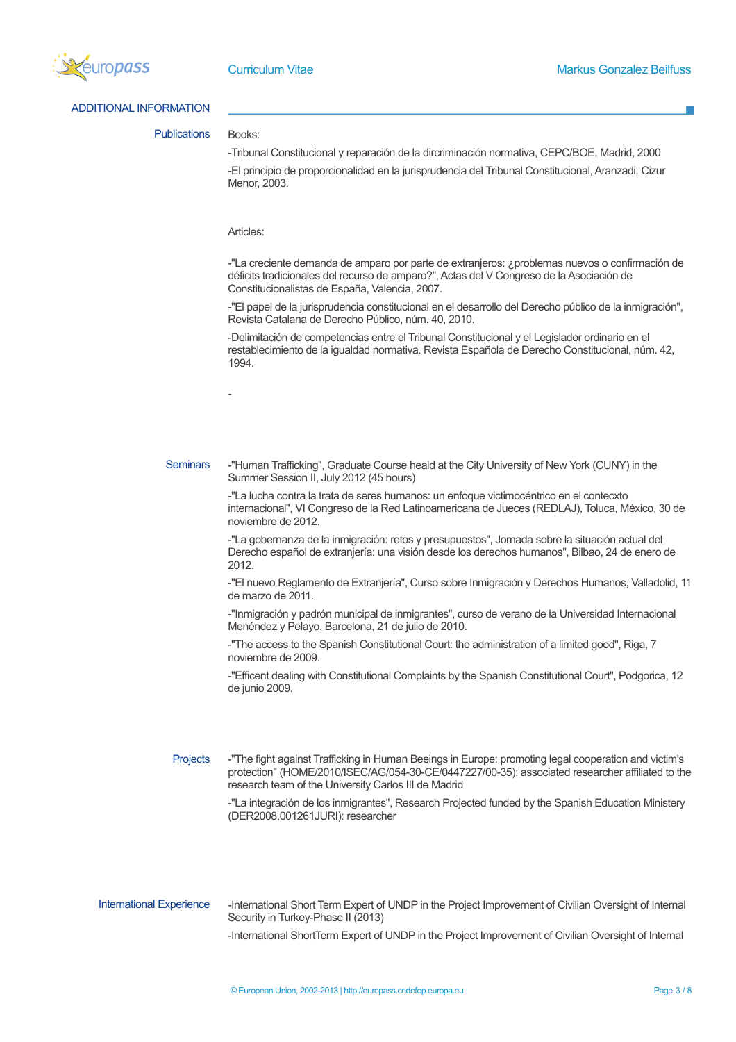

ADDITIONAL INFORMATION

Publications Books:

-Tribunal Constitucional y reparación de la dircriminación normativa, CEPC/BOE, Madrid, 2000 -El principio de proporcionalidad en la jurisprudencia del Tribunal Constitucional, Aranzadi, Cizur Menor, 2003.

### Articles:

-

-"La creciente demanda de amparo por parte de extranjeros: ¿problemas nuevos o confirmación de déficits tradicionales del recurso de amparo?", Actas del V Congreso de la Asociación de Constitucionalistas de España, Valencia, 2007.

-"El papel de la jurisprudencia constitucional en el desarrollo del Derecho público de la inmigración", Revista Catalana de Derecho Público, núm. 40, 2010.

-Delimitación de competencias entre el Tribunal Constitucional y el Legislador ordinario en el restablecimiento de la igualdad normativa. Revista Española de Derecho Constitucional, núm. 42, 1994.

Seminars -"Human Trafficking", Graduate Course heald at the City University of New York (CUNY) in the Summer Session II, July 2012 (45 hours)

> -"La lucha contra la trata de seres humanos: un enfoque victimocéntrico en el contecxto internacional", VI Congreso de la Red Latinoamericana de Jueces (REDLAJ), Toluca, México, 30 de noviembre de 2012.

-"La gobernanza de la inmigración: retos y presupuestos", Jornada sobre la situación actual del Derecho español de extranjería: una visión desde los derechos humanos", Bilbao, 24 de enero de 2012.

-"El nuevo Reglamento de Extranjería", Curso sobre Inmigración y Derechos Humanos, Valladolid, 11 de marzo de 2011.

-"Inmigración y padrón municipal de inmigrantes", curso de verano de la Universidad Internacional Menéndez y Pelayo, Barcelona, 21 de julio de 2010.

-"The access to the Spanish Constitutional Court: the administration of a limited good", Riga, 7 noviembre de 2009.

-"Efficent dealing with Constitutional Complaints by the Spanish Constitutional Court", Podgorica, 12 de junio 2009.

Projects -"The fight against Trafficking in Human Beeings in Europe: promoting legal cooperation and victim's protection" (HOME/2010/ISEC/AG/054-30-CE/0447227/00-35): associated researcher affiliated to the research team of the University Carlos III de Madrid

> -"La integración de los inmigrantes", Research Projected funded by the Spanish Education Ministery (DER2008.001261JURI): researcher

International Experience - International Short Term Expert of UNDP in the Project Improvement of Civilian Oversight of Internal Security in Turkey-Phase II (2013)

-International ShortTerm Expert of UNDP in the Project Improvement of Civilian Oversight of Internal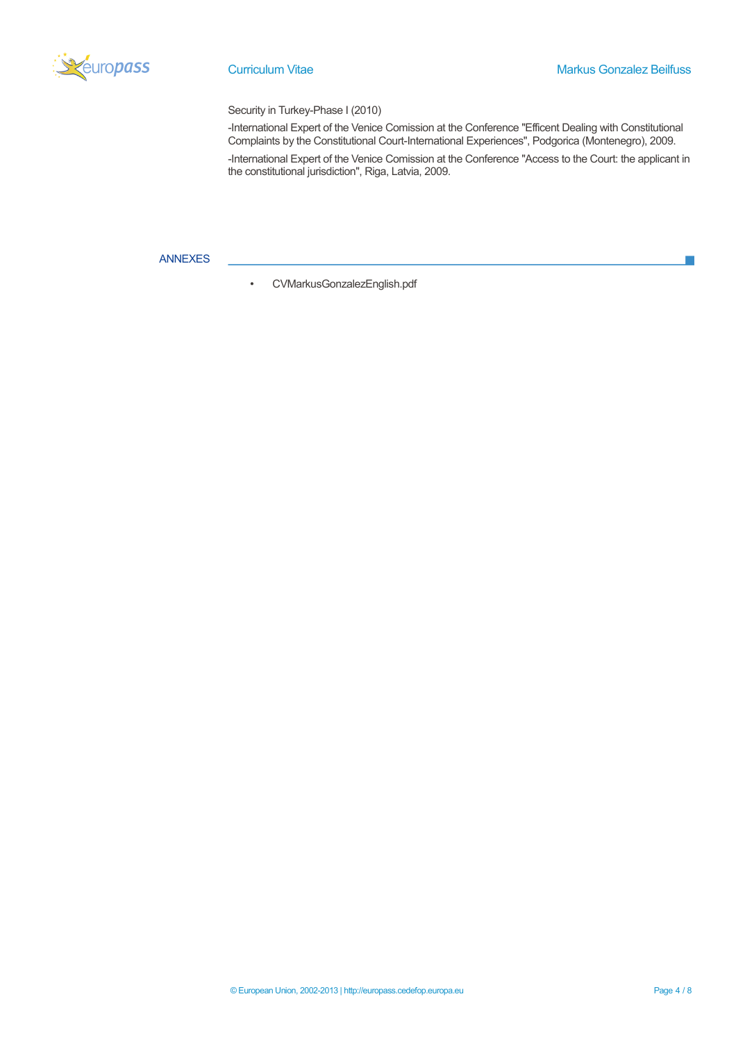

T.

# Security in Turkey-Phase I (2010)

-International Expert of the Venice Comission at the Conference "Efficent Dealing with Constitutional Complaints by the Constitutional Court-International Experiences", Podgorica (Montenegro), 2009.

-International Expert of the Venice Comission at the Conference "Access to the Court: the applicant in the constitutional jurisdiction", Riga, Latvia, 2009.

# ANNEXES

<span id="page-3-0"></span>• [CVMarkusGonzalezEnglish.pdf](#page-4-0)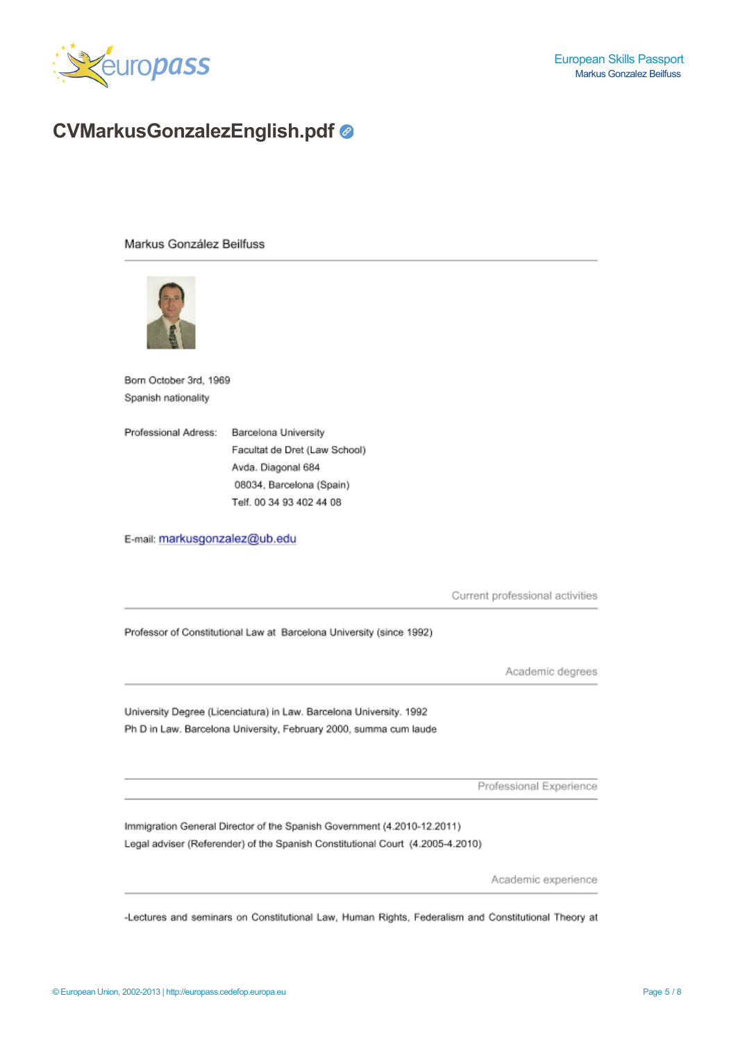

# <span id="page-4-0"></span>**CVMarkusGonzalezEnglish.pdf**

Markus González Beilfuss



Born October 3rd, 1969 Spanish nationality

Professional Adress: Barcelona University Facultat de Dret (Law School) Avda. Diagonal 684 08034, Barcelona (Spain) Telf. 00 34 93 402 44 08

E-mail: markusgonzalez@ub.edu

Current professional activities

Professor of Constitutional Law at Barcelona University (since 1992)

Academic degrees

University Degree (Licenciatura) in Law. Barcelona University. 1992 Ph D in Law. Barcelona University, February 2000, summa cum laude

Professional Experience

Immigration General Director of the Spanish Government (4.2010-12.2011) Legal adviser (Referender) of the Spanish Constitutional Court (4.2005-4.2010)

Academic experience

-Lectures and seminars on Constitutional Law, Human Rights, Federalism and Constitutional Theory at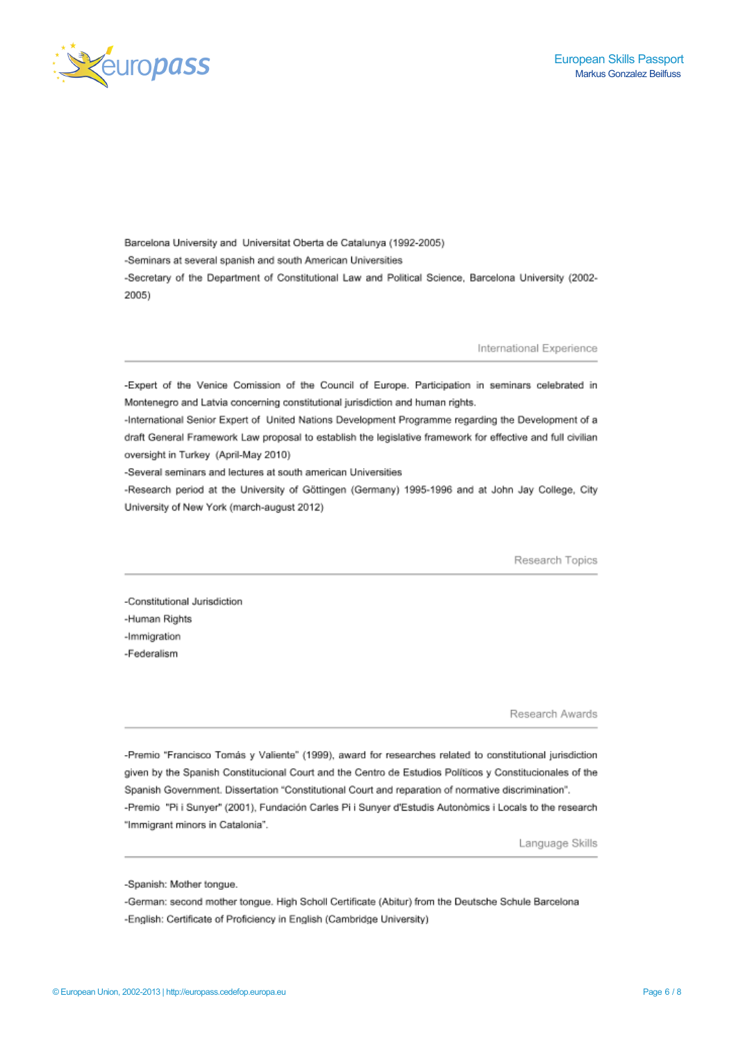



Barcelona University and Universitat Oberta de Catalunya (1992-2005) -Seminars at several spanish and south American Universities -Secretary of the Department of Constitutional Law and Political Science, Barcelona University (2002-2005)

International Experience

-Expert of the Venice Comission of the Council of Europe. Participation in seminars celebrated in Montenegro and Latvia concerning constitutional jurisdiction and human rights.

-International Senior Expert of United Nations Development Programme regarding the Development of a draft General Framework Law proposal to establish the legislative framework for effective and full civilian oversight in Turkey (April-May 2010)

-Several seminars and lectures at south american Universities

-Research period at the University of Göttingen (Germany) 1995-1996 and at John Jay College, City University of New York (march-august 2012)

Research Topics

-Constitutional Jurisdiction -Human Rights -Immigration -Federalism

Research Awards

-Premio "Francisco Tomás y Valiente" (1999), award for researches related to constitutional jurisdiction given by the Spanish Constitucional Court and the Centro de Estudios Políticos y Constitucionales of the Spanish Government. Dissertation "Constitutional Court and reparation of normative discrimination". -Premio "Pi i Sunyer" (2001), Fundación Carles Pi i Sunyer d'Estudis Autonòmics i Locals to the research "Immigrant minors in Catalonia".

Language Skills

-Spanish: Mother tongue.

-German: second mother tongue. High Scholl Certificate (Abitur) from the Deutsche Schule Barcelona -English: Certificate of Proficiency in English (Cambridge University)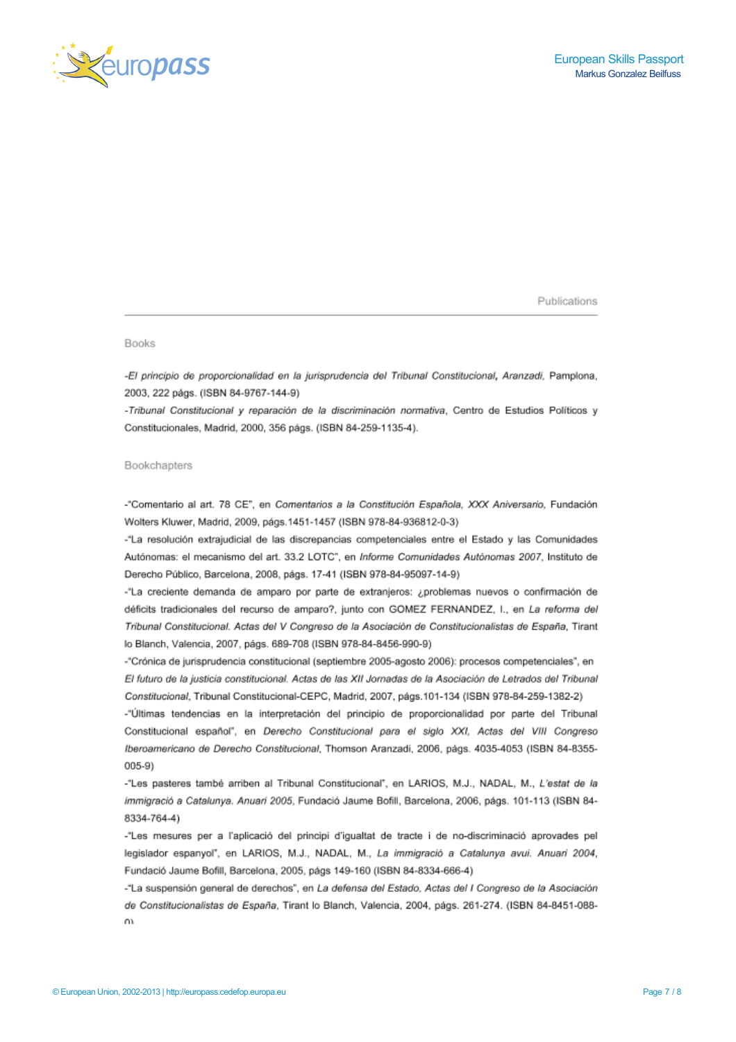

Publications

### **Books**

-El principio de proporcionalidad en la jurisprudencia del Tribunal Constitucional, Aranzadi, Pamplona, 2003, 222 págs. (ISBN 84-9767-144-9)

-Tribunal Constitucional y reparación de la discriminación normativa. Centro de Estudios Políticos y Constitucionales, Madrid, 2000, 356 págs. (ISBN 84-259-1135-4).

## Bookchapters

-"Comentario al art. 78 CE", en Comentarios a la Constitución Española, XXX Aniversario, Fundación Wolters Kluwer, Madrid, 2009, págs.1451-1457 (ISBN 978-84-936812-0-3)

-"La resolución extrajudicial de las discrepancias competenciales entre el Estado y las Comunidades Autónomas: el mecanismo del art. 33.2 LOTC", en Informe Comunidades Autónomas 2007, Instituto de Derecho Público, Barcelona, 2008, págs. 17-41 (ISBN 978-84-95097-14-9)

-"La creciente demanda de amparo por parte de extranjeros: ¿problemas nuevos o confirmación de déficits tradicionales del recurso de amparo?, junto con GOMEZ FERNANDEZ, I., en La reforma del Tribunal Constitucional. Actas del V Congreso de la Asociación de Constitucionalistas de España, Tirant lo Blanch, Valencia, 2007, págs. 689-708 (ISBN 978-84-8456-990-9)

-"Crónica de jurisprudencia constitucional (septiembre 2005-agosto 2006): procesos competenciales", en El futuro de la justicia constitucional. Actas de las XII Jornadas de la Asociación de Letrados del Tribunal Constitucional, Tribunal Constitucional-CEPC, Madrid, 2007, págs.101-134 (ISBN 978-84-259-1382-2)

-"Últimas tendencias en la interpretación del principio de proporcionalidad por parte del Tribunal Constitucional español", en Derecho Constitucional para el siglo XXI, Actas del VIII Congreso Iberoamericano de Derecho Constitucional, Thomson Aranzadi, 2006, págs. 4035-4053 (ISBN 84-8355- $005-9)$ 

-"Les pasteres també arriben al Tribunal Constitucional", en LARIOS, M.J., NADAL, M., L'estat de la immigració a Catalunya. Anuari 2005, Fundació Jaume Bofill, Barcelona, 2006, págs. 101-113 (ISBN 84-8334-764-4)

-"Les mesures per a l'aplicació del principi d'igualtat de tracte i de no-discriminació aprovades pel legislador espanyol", en LARIOS, M.J., NADAL, M., La immigració a Catalunya avui. Anuari 2004, Fundació Jaume Bofill, Barcelona, 2005, págs 149-160 (ISBN 84-8334-666-4)

-"La suspensión general de derechos", en La defensa del Estado, Actas del I Congreso de la Asociación de Constitucionalistas de España, Tirant lo Blanch, Valencia, 2004, págs. 261-274. (ISBN 84-8451-088- $\Omega$